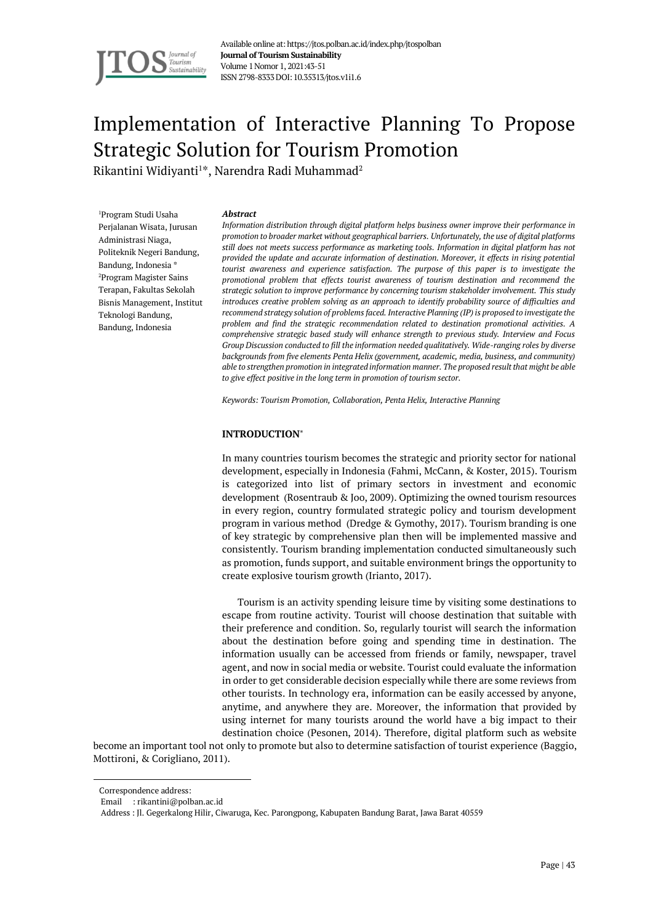

# Implementation of Interactive Planning To Propose Strategic Solution for Tourism Promotion

Rikantini Widiyanti $^{1\ast},$  Narendra Radi Muhammad $^{2}$ 

<sup>1</sup>Program Studi Usaha Perjalanan Wisata, Jurusan Administrasi Niaga, Politeknik Negeri Bandung, Bandung, Indonesia \* <sup>2</sup>Program Magister Sains Terapan, Fakultas Sekolah Bisnis Management, Institut Teknologi Bandung, Bandung, Indonesia

#### *Abstract*

*Information distribution through digital platform helps business owner improve their performance in promotion to broader market without geographical barriers. Unfortunately, the use of digital platforms still does not meets success performance as marketing tools. Information in digital platform has not provided the update and accurate information of destination. Moreover, it effects in rising potential tourist awareness and experience satisfaction. The purpose of this paper is to investigate the promotional problem that effects tourist awareness of tourism destination and recommend the strategic solution to improve performance by concerning tourism stakeholder involvement. This study introduces creative problem solving as an approach to identify probability source of difficulties and recommend strategy solution of problems faced. Interactive Planning (IP) is proposed to investigate the problem and find the strategic recommendation related to destination promotional activities. A comprehensive strategic based study will enhance strength to previous study. Interview and Focus Group Discussion conducted to fill the information needed qualitatively. Wide-ranging roles by diverse backgrounds from five elements Penta Helix (government, academic, media, business, and community) able to strengthen promotion in integrated information manner. The proposed result that might be able to give effect positive in the long term in promotion of tourism sector.*

*Keywords: Tourism Promotion, Collaboration, Penta Helix, Interactive Planning*

## **INTRODUCTION**

In many countries tourism becomes the strategic and priority sector for national development, especially in Indonesia (Fahmi, McCann, & Koster, 2015). Tourism is categorized into list of primary sectors in investment and economic development (Rosentraub & Joo, 2009). Optimizing the owned tourism resources in every region, country formulated strategic policy and tourism development program in various method (Dredge & Gymothy, 2017). Tourism branding is one of key strategic by comprehensive plan then will be implemented massive and consistently. Tourism branding implementation conducted simultaneously such as promotion, funds support, and suitable environment brings the opportunity to create explosive tourism growth (Irianto, 2017).

Tourism is an activity spending leisure time by visiting some destinations to escape from routine activity. Tourist will choose destination that suitable with their preference and condition. So, regularly tourist will search the information about the destination before going and spending time in destination. The information usually can be accessed from friends or family, newspaper, travel agent, and now in social media or website. Tourist could evaluate the information in order to get considerable decision especially while there are some reviews from other tourists. In technology era, information can be easily accessed by anyone, anytime, and anywhere they are. Moreover, the information that provided by using internet for many tourists around the world have a big impact to their destination choice (Pesonen, 2014). Therefore, digital platform such as website

become an important tool not only to promote but also to determine satisfaction of tourist experience (Baggio, Mottironi, & Corigliano, 2011).

Correspondence address:

Email : rikantini@polban.ac.id

Address : Jl. Gegerkalong Hilir, Ciwaruga, Kec. Parongpong, Kabupaten Bandung Barat, Jawa Barat 40559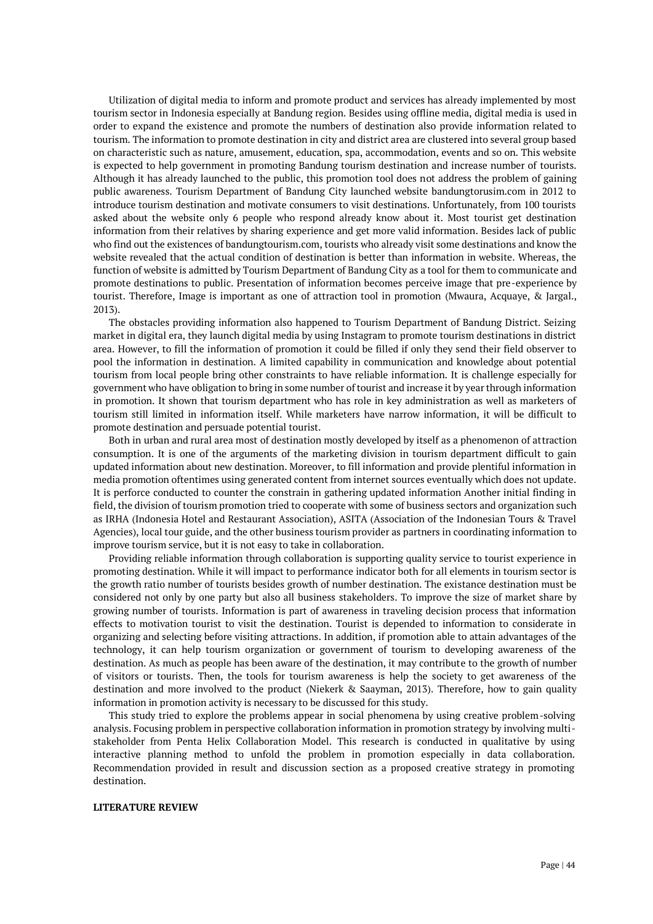Utilization of digital media to inform and promote product and services has already implemented by most tourism sector in Indonesia especially at Bandung region. Besides using offline media, digital media is used in order to expand the existence and promote the numbers of destination also provide information related to tourism. The information to promote destination in city and district area are clustered into several group based on characteristic such as nature, amusement, education, spa, accommodation, events and so on. This website is expected to help government in promoting Bandung tourism destination and increase number of tourists. Although it has already launched to the public, this promotion tool does not address the problem of gaining public awareness. Tourism Department of Bandung City launched website bandungtorusim.com in 2012 to introduce tourism destination and motivate consumers to visit destinations. Unfortunately, from 100 tourists asked about the website only 6 people who respond already know about it. Most tourist get destination information from their relatives by sharing experience and get more valid information. Besides lack of public who find out the existences of bandungtourism.com, tourists who already visit some destinations and know the website revealed that the actual condition of destination is better than information in website. Whereas, the function of website is admitted by Tourism Department of Bandung City as a tool for them to communicate and promote destinations to public. Presentation of information becomes perceive image that pre-experience by tourist. Therefore, Image is important as one of attraction tool in promotion (Mwaura, Acquaye, & Jargal., 2013).

The obstacles providing information also happened to Tourism Department of Bandung District. Seizing market in digital era, they launch digital media by using Instagram to promote tourism destinations in district area. However, to fill the information of promotion it could be filled if only they send their field observer to pool the information in destination. A limited capability in communication and knowledge about potential tourism from local people bring other constraints to have reliable information. It is challenge especially for government who have obligation to bring in some number of tourist and increase it by year through information in promotion. It shown that tourism department who has role in key administration as well as marketers of tourism still limited in information itself. While marketers have narrow information, it will be difficult to promote destination and persuade potential tourist.

Both in urban and rural area most of destination mostly developed by itself as a phenomenon of attraction consumption. It is one of the arguments of the marketing division in tourism department difficult to gain updated information about new destination. Moreover, to fill information and provide plentiful information in media promotion oftentimes using generated content from internet sources eventually which does not update. It is perforce conducted to counter the constrain in gathering updated information Another initial finding in field, the division of tourism promotion tried to cooperate with some of business sectors and organization such as IRHA (Indonesia Hotel and Restaurant Association), ASITA (Association of the Indonesian Tours & Travel Agencies), local tour guide, and the other business tourism provider as partners in coordinating information to improve tourism service, but it is not easy to take in collaboration.

Providing reliable information through collaboration is supporting quality service to tourist experience in promoting destination. While it will impact to performance indicator both for all elements in tourism sector is the growth ratio number of tourists besides growth of number destination. The existance destination must be considered not only by one party but also all business stakeholders. To improve the size of market share by growing number of tourists. Information is part of awareness in traveling decision process that information effects to motivation tourist to visit the destination. Tourist is depended to information to considerate in organizing and selecting before visiting attractions. In addition, if promotion able to attain advantages of the technology, it can help tourism organization or government of tourism to developing awareness of the destination. As much as people has been aware of the destination, it may contribute to the growth of number of visitors or tourists. Then, the tools for tourism awareness is help the society to get awareness of the destination and more involved to the product (Niekerk & Saayman, 2013). Therefore, how to gain quality information in promotion activity is necessary to be discussed for this study.

This study tried to explore the problems appear in social phenomena by using creative problem-solving analysis. Focusing problem in perspective collaboration information in promotion strategy by involving multistakeholder from Penta Helix Collaboration Model. This research is conducted in qualitative by using interactive planning method to unfold the problem in promotion especially in data collaboration. Recommendation provided in result and discussion section as a proposed creative strategy in promoting destination.

### **LITERATURE REVIEW**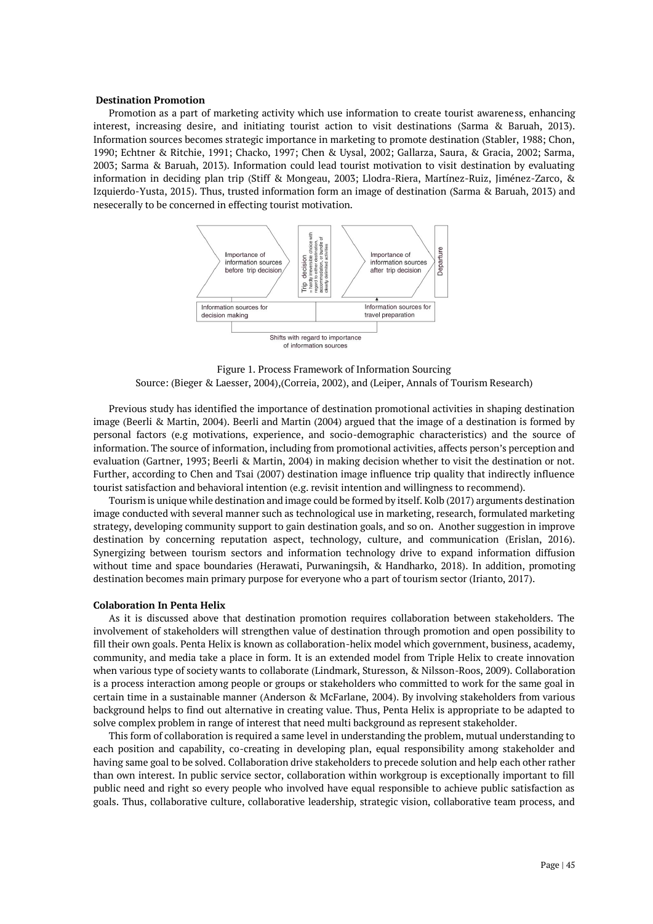### **Destination Promotion**

Promotion as a part of marketing activity which use information to create tourist awareness, enhancing interest, increasing desire, and initiating tourist action to visit destinations (Sarma & Baruah, 2013). Information sources becomes strategic importance in marketing to promote destination (Stabler, 1988; Chon, 1990; Echtner & Ritchie, 1991; Chacko, 1997; Chen & Uysal, 2002; Gallarza, Saura, & Gracia, 2002; Sarma, 2003; Sarma & Baruah, 2013). Information could lead tourist motivation to visit destination by evaluating information in deciding plan trip (Stiff & Mongeau, 2003; Llodra-Riera, Martínez-Ruiz, Jiménez-Zarco, & Izquierdo-Yusta, 2015). Thus, trusted information form an image of destination (Sarma & Baruah, 2013) and nesecerally to be concerned in effecting tourist motivation.



Figure 1. Process Framework of Information Sourcing Source: (Bieger & Laesser, 2004),(Correia, 2002), and (Leiper, Annals of Tourism Research)

Previous study has identified the importance of destination promotional activities in shaping destination image (Beerli & Martin, 2004). Beerli and Martin (2004) argued that the image of a destination is formed by personal factors (e.g motivations, experience, and socio-demographic characteristics) and the source of information. The source of information, including from promotional activities, affects person's perception and evaluation (Gartner, 1993; Beerli & Martin, 2004) in making decision whether to visit the destination or not. Further, according to Chen and Tsai (2007) destination image influence trip quality that indirectly influence tourist satisfaction and behavioral intention (e.g. revisit intention and willingness to recommend).

Tourism is unique while destination and image could be formed by itself. Kolb (2017) arguments destination image conducted with several manner such as technological use in marketing, research, formulated marketing strategy, developing community support to gain destination goals, and so on. Another suggestion in improve destination by concerning reputation aspect, technology, culture, and communication (Erislan, 2016). Synergizing between tourism sectors and information technology drive to expand information diffusion without time and space boundaries (Herawati, Purwaningsih, & Handharko, 2018). In addition, promoting destination becomes main primary purpose for everyone who a part of tourism sector (Irianto, 2017).

### **Colaboration In Penta Helix**

As it is discussed above that destination promotion requires collaboration between stakeholders. The involvement of stakeholders will strengthen value of destination through promotion and open possibility to fill their own goals. Penta Helix is known as collaboration-helix model which government, business, academy, community, and media take a place in form. It is an extended model from Triple Helix to create innovation when various type of society wants to collaborate (Lindmark, Sturesson, & Nilsson-Roos, 2009). Collaboration is a process interaction among people or groups or stakeholders who committed to work for the same goal in certain time in a sustainable manner (Anderson & McFarlane, 2004). By involving stakeholders from various background helps to find out alternative in creating value. Thus, Penta Helix is appropriate to be adapted to solve complex problem in range of interest that need multi background as represent stakeholder.

This form of collaboration is required a same level in understanding the problem, mutual understanding to each position and capability, co-creating in developing plan, equal responsibility among stakeholder and having same goal to be solved. Collaboration drive stakeholders to precede solution and help each other rather than own interest. In public service sector, collaboration within workgroup is exceptionally important to fill public need and right so every people who involved have equal responsible to achieve public satisfaction as goals. Thus, collaborative culture, collaborative leadership, strategic vision, collaborative team process, and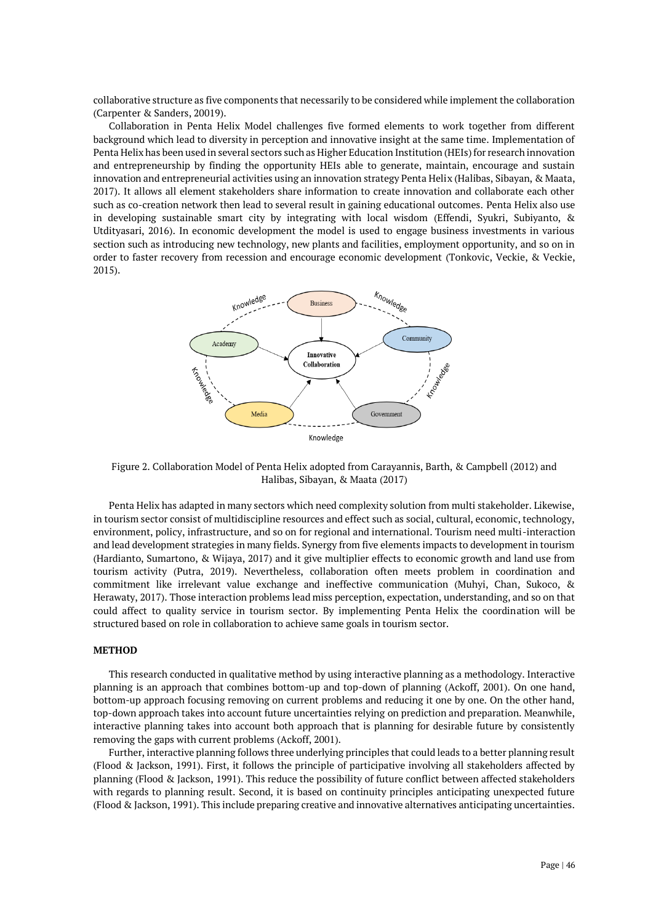collaborative structure as five components that necessarily to be considered while implement the collaboration (Carpenter & Sanders, 20019).

Collaboration in Penta Helix Model challenges five formed elements to work together from different background which lead to diversity in perception and innovative insight at the same time. Implementation of Penta Helix has been used in several sectors such as Higher Education Institution (HEIs) for research innovation and entrepreneurship by finding the opportunity HEIs able to generate, maintain, encourage and sustain innovation and entrepreneurial activities using an innovation strategy Penta Helix (Halibas, Sibayan, & Maata, 2017). It allows all element stakeholders share information to create innovation and collaborate each other such as co-creation network then lead to several result in gaining educational outcomes. Penta Helix also use in developing sustainable smart city by integrating with local wisdom (Effendi, Syukri, Subiyanto, & Utdityasari, 2016). In economic development the model is used to engage business investments in various section such as introducing new technology, new plants and facilities, employment opportunity, and so on in order to faster recovery from recession and encourage economic development (Tonkovic, Veckie, & Veckie, 2015).



Figure 2. Collaboration Model of Penta Helix adopted from Carayannis, Barth, & Campbell (2012) and Halibas, Sibayan, & Maata (2017)

Penta Helix has adapted in many sectors which need complexity solution from multi stakeholder. Likewise, in tourism sector consist of multidiscipline resources and effect such as social, cultural, economic, technology, environment, policy, infrastructure, and so on for regional and international. Tourism need multi-interaction and lead development strategies in many fields. Synergy from five elements impacts to development in tourism (Hardianto, Sumartono, & Wijaya, 2017) and it give multiplier effects to economic growth and land use from tourism activity (Putra, 2019). Nevertheless, collaboration often meets problem in coordination and commitment like irrelevant value exchange and ineffective communication (Muhyi, Chan, Sukoco, & Herawaty, 2017). Those interaction problems lead miss perception, expectation, understanding, and so on that could affect to quality service in tourism sector. By implementing Penta Helix the coordination will be structured based on role in collaboration to achieve same goals in tourism sector.

## **METHOD**

This research conducted in qualitative method by using interactive planning as a methodology. Interactive planning is an approach that combines bottom-up and top-down of planning (Ackoff, 2001). On one hand, bottom-up approach focusing removing on current problems and reducing it one by one. On the other hand, top-down approach takes into account future uncertainties relying on prediction and preparation. Meanwhile, interactive planning takes into account both approach that is planning for desirable future by consistently removing the gaps with current problems (Ackoff, 2001).

Further, interactive planning follows three underlying principles that could leads to a better planning result (Flood & Jackson, 1991). First, it follows the principle of participative involving all stakeholders affected by planning (Flood & Jackson, 1991). This reduce the possibility of future conflict between affected stakeholders with regards to planning result. Second, it is based on continuity principles anticipating unexpected future (Flood & Jackson, 1991). This include preparing creative and innovative alternatives anticipating uncertainties.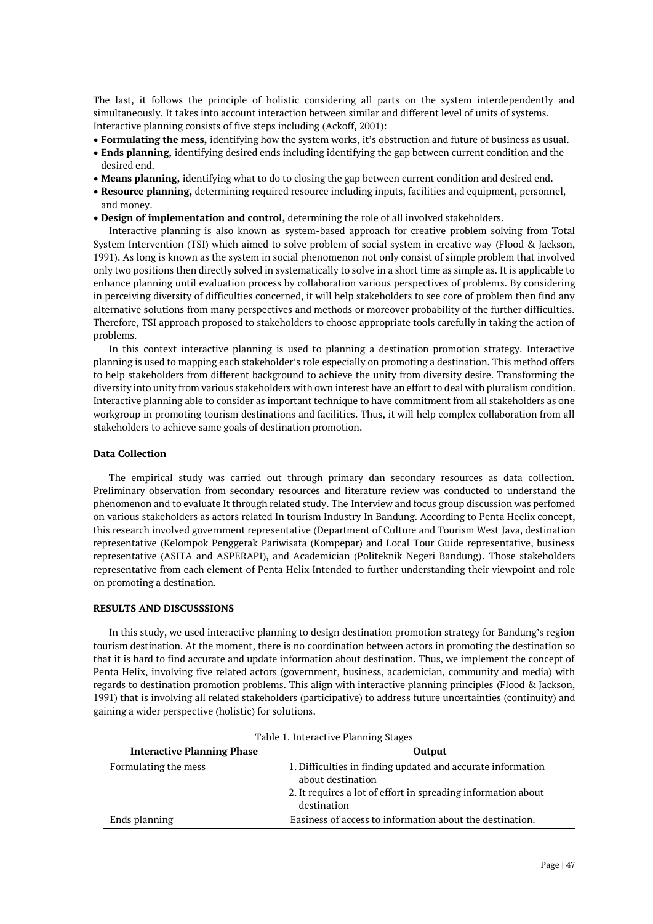The last, it follows the principle of holistic considering all parts on the system interdependently and simultaneously. It takes into account interaction between similar and different level of units of systems. Interactive planning consists of five steps including (Ackoff, 2001):

- **Formulating the mess,** identifying how the system works, it's obstruction and future of business as usual.
- **Ends planning,** identifying desired ends including identifying the gap between current condition and the desired end.
- **Means planning,** identifying what to do to closing the gap between current condition and desired end.
- **Resource planning,** determining required resource including inputs, facilities and equipment, personnel, and money.
- **Design of implementation and control,** determining the role of all involved stakeholders.

Interactive planning is also known as system-based approach for creative problem solving from Total System Intervention (TSI) which aimed to solve problem of social system in creative way (Flood & Jackson, 1991). As long is known as the system in social phenomenon not only consist of simple problem that involved only two positions then directly solved in systematically to solve in a short time as simple as. It is applicable to enhance planning until evaluation process by collaboration various perspectives of problems. By considering in perceiving diversity of difficulties concerned, it will help stakeholders to see core of problem then find any alternative solutions from many perspectives and methods or moreover probability of the further difficulties. Therefore, TSI approach proposed to stakeholders to choose appropriate tools carefully in taking the action of problems.

In this context interactive planning is used to planning a destination promotion strategy. Interactive planning is used to mapping each stakeholder's role especially on promoting a destination. This method offers to help stakeholders from different background to achieve the unity from diversity desire. Transforming the diversity into unity from various stakeholders with own interest have an effort to deal with pluralism condition. Interactive planning able to consider as important technique to have commitment from all stakeholders as one workgroup in promoting tourism destinations and facilities. Thus, it will help complex collaboration from all stakeholders to achieve same goals of destination promotion.

# **Data Collection**

The empirical study was carried out through primary dan secondary resources as data collection. Preliminary observation from secondary resources and literature review was conducted to understand the phenomenon and to evaluate It through related study. The Interview and focus group discussion was perfomed on various stakeholders as actors related In tourism Industry In Bandung. According to Penta Heelix concept, this research involved government representative (Department of Culture and Tourism West Java, destination representative (Kelompok Penggerak Pariwisata (Kompepar) and Local Tour Guide representative, business representative (ASITA and ASPERAPI), and Academician (Politeknik Negeri Bandung). Those stakeholders representative from each element of Penta Helix Intended to further understanding their viewpoint and role on promoting a destination.

## **RESULTS AND DISCUSSSIONS**

In this study, we used interactive planning to design destination promotion strategy for Bandung's region tourism destination. At the moment, there is no coordination between actors in promoting the destination so that it is hard to find accurate and update information about destination. Thus, we implement the concept of Penta Helix, involving five related actors (government, business, academician, community and media) with regards to destination promotion problems. This align with interactive planning principles (Flood & Jackson, 1991) that is involving all related stakeholders (participative) to address future uncertainties (continuity) and gaining a wider perspective (holistic) for solutions.

| Table 1. Interactive I lamming beages |                                                                                  |
|---------------------------------------|----------------------------------------------------------------------------------|
| <b>Interactive Planning Phase</b>     | Output                                                                           |
| Formulating the mess                  | 1. Difficulties in finding updated and accurate information<br>about destination |
|                                       | 2. It requires a lot of effort in spreading information about<br>destination     |
| Ends planning                         | Easiness of access to information about the destination.                         |

| Table 1. Interactive Planning Stages |
|--------------------------------------|
|--------------------------------------|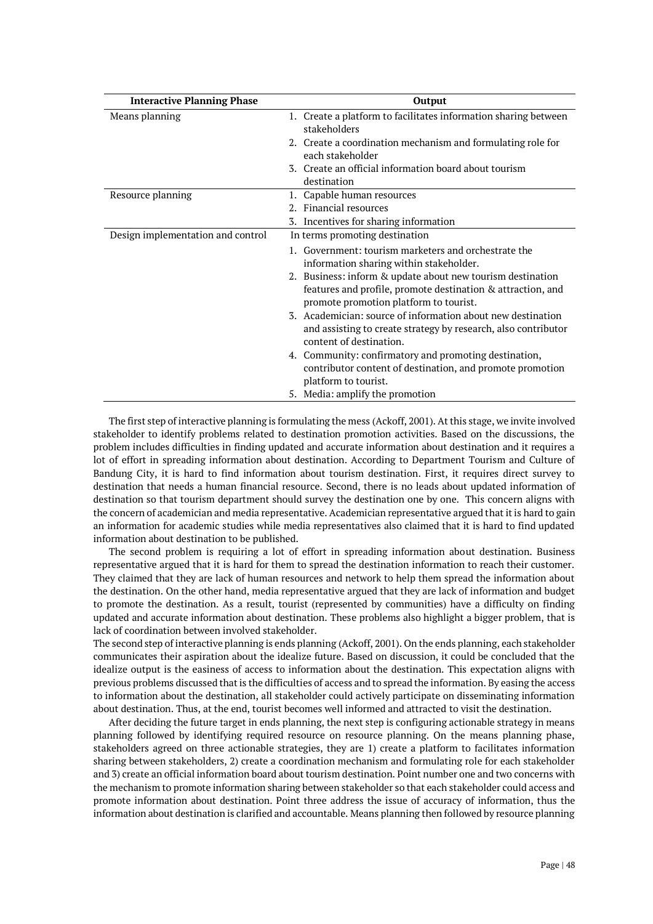| <b>Interactive Planning Phase</b> | Output                                                                                                |
|-----------------------------------|-------------------------------------------------------------------------------------------------------|
| Means planning                    | 1. Create a platform to facilitates information sharing between<br>stakeholders                       |
|                                   | 2. Create a coordination mechanism and formulating role for<br>each stakeholder                       |
|                                   | 3. Create an official information board about tourism<br>destination                                  |
| Resource planning                 | 1. Capable human resources                                                                            |
|                                   | 2. Financial resources                                                                                |
|                                   | Incentives for sharing information<br>3.                                                              |
| Design implementation and control | In terms promoting destination                                                                        |
|                                   | 1. Government: tourism marketers and orchestrate the                                                  |
|                                   | information sharing within stakeholder.                                                               |
|                                   | 2. Business: inform & update about new tourism destination                                            |
|                                   | features and profile, promote destination & attraction, and<br>promote promotion platform to tourist. |
|                                   | 3. Academician: source of information about new destination                                           |
|                                   | and assisting to create strategy by research, also contributor<br>content of destination.             |
|                                   | 4. Community: confirmatory and promoting destination,                                                 |
|                                   | contributor content of destination, and promote promotion                                             |
|                                   | platform to tourist.                                                                                  |
|                                   | 5. Media: amplify the promotion                                                                       |

The first step of interactive planning is formulating the mess (Ackoff, 2001). At this stage, we invite involved stakeholder to identify problems related to destination promotion activities. Based on the discussions, the problem includes difficulties in finding updated and accurate information about destination and it requires a lot of effort in spreading information about destination. According to Department Tourism and Culture of Bandung City, it is hard to find information about tourism destination. First, it requires direct survey to destination that needs a human financial resource. Second, there is no leads about updated information of destination so that tourism department should survey the destination one by one. This concern aligns with the concern of academician and media representative. Academician representative argued that it is hard to gain an information for academic studies while media representatives also claimed that it is hard to find updated information about destination to be published.

The second problem is requiring a lot of effort in spreading information about destination. Business representative argued that it is hard for them to spread the destination information to reach their customer. They claimed that they are lack of human resources and network to help them spread the information about the destination. On the other hand, media representative argued that they are lack of information and budget to promote the destination. As a result, tourist (represented by communities) have a difficulty on finding updated and accurate information about destination. These problems also highlight a bigger problem, that is lack of coordination between involved stakeholder.

The second step of interactive planning is ends planning (Ackoff, 2001). On the ends planning, each stakeholder communicates their aspiration about the idealize future. Based on discussion, it could be concluded that the idealize output is the easiness of access to information about the destination. This expectation aligns with previous problems discussed that is the difficulties of access and to spread the information. By easing the access to information about the destination, all stakeholder could actively participate on disseminating information about destination. Thus, at the end, tourist becomes well informed and attracted to visit the destination.

After deciding the future target in ends planning, the next step is configuring actionable strategy in means planning followed by identifying required resource on resource planning. On the means planning phase, stakeholders agreed on three actionable strategies, they are 1) create a platform to facilitates information sharing between stakeholders, 2) create a coordination mechanism and formulating role for each stakeholder and 3) create an official information board about tourism destination. Point number one and two concerns with the mechanism to promote information sharing between stakeholder so that each stakeholder could access and promote information about destination. Point three address the issue of accuracy of information, thus the information about destination is clarified and accountable. Means planning then followed by resource planning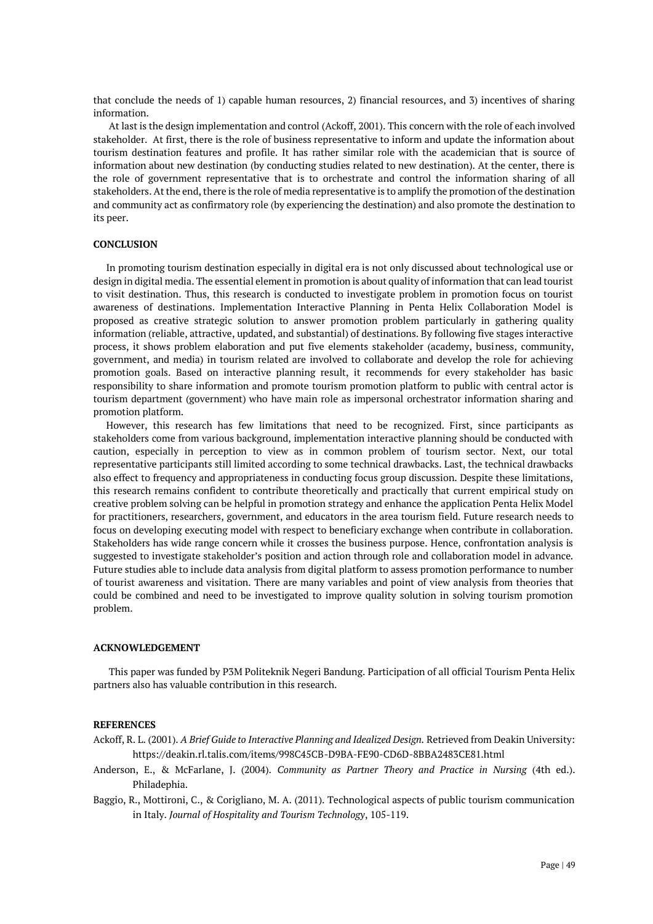that conclude the needs of 1) capable human resources, 2) financial resources, and 3) incentives of sharing information.

At last is the design implementation and control (Ackoff, 2001). This concern with the role of each involved stakeholder. At first, there is the role of business representative to inform and update the information about tourism destination features and profile. It has rather similar role with the academician that is source of information about new destination (by conducting studies related to new destination). At the center, there is the role of government representative that is to orchestrate and control the information sharing of all stakeholders. At the end, there is the role of media representative is to amplify the promotion of the destination and community act as confirmatory role (by experiencing the destination) and also promote the destination to its peer.

# **CONCLUSION**

In promoting tourism destination especially in digital era is not only discussed about technological use or design in digital media. The essential element in promotion is about quality of information that can lead tourist to visit destination. Thus, this research is conducted to investigate problem in promotion focus on tourist awareness of destinations. Implementation Interactive Planning in Penta Helix Collaboration Model is proposed as creative strategic solution to answer promotion problem particularly in gathering quality information (reliable, attractive, updated, and substantial) of destinations. By following five stages interactive process, it shows problem elaboration and put five elements stakeholder (academy, business, community, government, and media) in tourism related are involved to collaborate and develop the role for achieving promotion goals. Based on interactive planning result, it recommends for every stakeholder has basic responsibility to share information and promote tourism promotion platform to public with central actor is tourism department (government) who have main role as impersonal orchestrator information sharing and promotion platform.

However, this research has few limitations that need to be recognized. First, since participants as stakeholders come from various background, implementation interactive planning should be conducted with caution, especially in perception to view as in common problem of tourism sector. Next, our total representative participants still limited according to some technical drawbacks. Last, the technical drawbacks also effect to frequency and appropriateness in conducting focus group discussion. Despite these limitations, this research remains confident to contribute theoretically and practically that current empirical study on creative problem solving can be helpful in promotion strategy and enhance the application Penta Helix Model for practitioners, researchers, government, and educators in the area tourism field. Future research needs to focus on developing executing model with respect to beneficiary exchange when contribute in collaboration. Stakeholders has wide range concern while it crosses the business purpose. Hence, confrontation analysis is suggested to investigate stakeholder's position and action through role and collaboration model in advance. Future studies able to include data analysis from digital platform to assess promotion performance to number of tourist awareness and visitation. There are many variables and point of view analysis from theories that could be combined and need to be investigated to improve quality solution in solving tourism promotion problem.

## **ACKNOWLEDGEMENT**

This paper was funded by P3M Politeknik Negeri Bandung. Participation of all official Tourism Penta Helix partners also has valuable contribution in this research.

#### **REFERENCES**

Ackoff, R. L. (2001). *A Brief Guide to Interactive Planning and Idealized Design.* Retrieved from Deakin University: https://deakin.rl.talis.com/items/998C45CB-D9BA-FE90-CD6D-8BBA2483CE81.html

- Anderson, E., & McFarlane, J. (2004). *Community as Partner Theory and Practice in Nursing* (4th ed.). Philadephia.
- Baggio, R., Mottironi, C., & Corigliano, M. A. (2011). Technological aspects of public tourism communication in Italy. *Journal of Hospitality and Tourism Technology*, 105-119.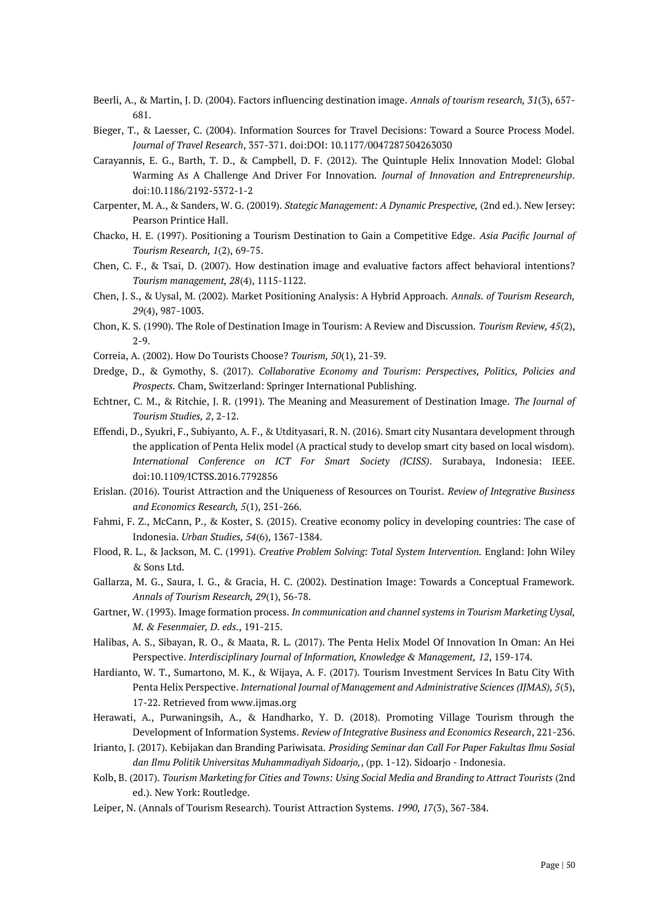- Beerli, A., & Martin, J. D. (2004). Factors influencing destination image. *Annals of tourism research, 31*(3), 657- 681.
- Bieger, T., & Laesser, C. (2004). Information Sources for Travel Decisions: Toward a Source Process Model. *Journal of Travel Research*, 357-371. doi:DOI: 10.1177/0047287504263030
- Carayannis, E. G., Barth, T. D., & Campbell, D. F. (2012). The Quintuple Helix Innovation Model: Global Warming As A Challenge And Driver For Innovation. *Journal of Innovation and Entrepreneurship*. doi:10.1186/2192-5372-1-2
- Carpenter, M. A., & Sanders, W. G. (20019). *Stategic Management: A Dynamic Prespective,* (2nd ed.). New Jersey: Pearson Printice Hall.
- Chacko, H. E. (1997). Positioning a Tourism Destination to Gain a Competitive Edge. *Asia Pacific Journal of Tourism Research, 1*(2), 69-75.
- Chen, C. F., & Tsai, D. (2007). How destination image and evaluative factors affect behavioral intentions? *Tourism management, 28*(4), 1115-1122.
- Chen, J. S., & Uysal, M. (2002). Market Positioning Analysis: A Hybrid Approach. *Annals. of Tourism Research, 29*(4), 987-1003.
- Chon, K. S. (1990). The Role of Destination Image in Tourism: A Review and Discussion. *Tourism Review, 45*(2), 2-9.
- Correia, A. (2002). How Do Tourists Choose? *Tourism, 50*(1), 21-39.
- Dredge, D., & Gymothy, S. (2017). *Collaborative Economy and Tourism: Perspectives, Politics, Policies and Prospects.* Cham, Switzerland: Springer International Publishing.
- Echtner, C. M., & Ritchie, J. R. (1991). The Meaning and Measurement of Destination Image. *The Journal of Tourism Studies, 2*, 2-12.
- Effendi, D., Syukri, F., Subiyanto, A. F., & Utdityasari, R. N. (2016). Smart city Nusantara development through the application of Penta Helix model (A practical study to develop smart city based on local wisdom). *International Conference on ICT For Smart Society (ICISS).* Surabaya, Indonesia: IEEE. doi:10.1109/ICTSS.2016.7792856
- Erislan. (2016). Tourist Attraction and the Uniqueness of Resources on Tourist. *Review of Integrative Business and Economics Research, 5*(1), 251-266.
- Fahmi, F. Z., McCann, P., & Koster, S. (2015). Creative economy policy in developing countries: The case of Indonesia. *Urban Studies, 54*(6), 1367-1384.
- Flood, R. L., & Jackson, M. C. (1991). *Creative Problem Solving: Total System Intervention.* England: John Wiley & Sons Ltd.
- Gallarza, M. G., Saura, I. G., & Gracia, H. C. (2002). Destination Image: Towards a Conceptual Framework. *Annals of Tourism Research, 29*(1), 56-78.
- Gartner, W. (1993). Image formation process. *In communication and channel systems in Tourism Marketing Uysal, M. & Fesenmaier, D. eds.*, 191-215.
- Halibas, A. S., Sibayan, R. O., & Maata, R. L. (2017). The Penta Helix Model Of Innovation In Oman: An Hei Perspective. *Interdisciplinary Journal of Information, Knowledge & Management, 12*, 159-174.
- Hardianto, W. T., Sumartono, M. K., & Wijaya, A. F. (2017). Tourism Investment Services In Batu City With Penta Helix Perspective. *International Journal of Management and Administrative Sciences (IJMAS), 5*(5), 17-22. Retrieved from www.ijmas.org
- Herawati, A., Purwaningsih, A., & Handharko, Y. D. (2018). Promoting Village Tourism through the Development of Information Systems. *Review of Integrative Business and Economics Research*, 221-236.
- Irianto, J. (2017). Kebijakan dan Branding Pariwisata. *Prosiding Seminar dan Call For Paper Fakultas Ilmu Sosial dan Ilmu Politik Universitas Muhammadiyah Sidoarjo,*, (pp. 1-12). Sidoarjo - Indonesia.
- Kolb, B. (2017). *Tourism Marketing for Cities and Towns: Using Social Media and Branding to Attract Tourists* (2nd ed.). New York: Routledge.
- Leiper, N. (Annals of Tourism Research). Tourist Attraction Systems. *1990, 17*(3), 367-384.